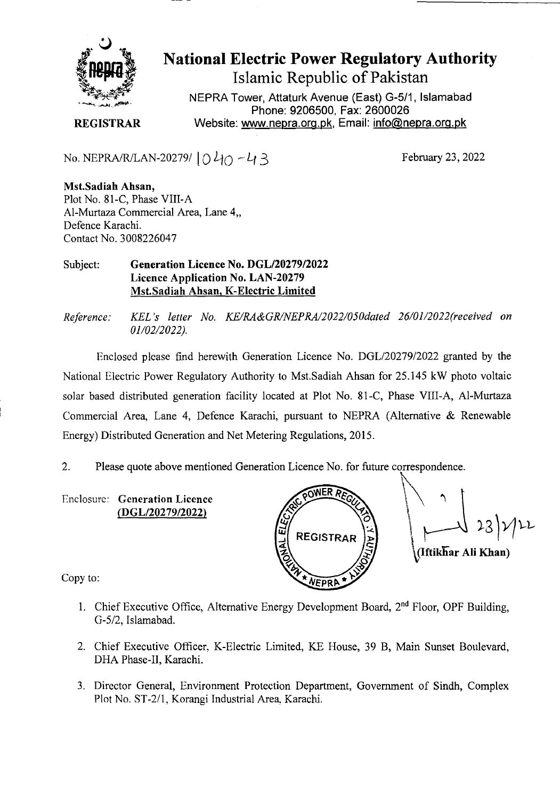

**National Electric Power Regulatory Authority Islamic Republic of Pakistan** 

**NEPRA Tower, Attaturk Avenue (East) G-511, Islamabad Phone: 9206500, Fax: 2600026 REGISTRAR** Website: www.nepra.org.pk, Email: info@nepra.org.pk

No. NEPRA/R/LAN-20279/  $040 - 43$ 

February 23, 2022

**Mst.Sadiah Ahsan,**  Plot No. 81-C, Phase VIII-A Al-Murtaza Commercial Area, Lane 4,, Defence Karachi. Contact No. 3008226047

Subject: **Generation Licence No.** *DGL12027912022*  **Licence Application No.** LAN-20279 Mst.Sadiah Ahsan, K-Electric Limited

*Reference: KEL 's letter No. KE/RA&GR/NEPRA/2022/050dated 26/01/2022(received on 01/02/2022).* 

Enclosed please find herewith Generation Licence No. DGL/20279/2022 granted by the National Electric Power Regulatory Authority to Mst.Sadiah Ahsan for 25.145 kW photo voltaic solar based distributed generation facility located at Plot No. 81-C, Phase VIII-A, Al-Murtaza Commercial Area, Lane 4, Defence Karachi, pursuant to NEPRA (Alternative & Renewable Energy) Distributed Generation and Net Metering Regulations, 2015.

2. Please quote above mentioned Generation Licence No. for future correspondence.

Enclosure: Generation Licence (DGL/20279/2022)



Copy to:

- 1. Chief Executive Office, Alternative Energy Development Board,  $2<sup>nd</sup>$  Floor, OPF Building, *G-512,* Islamabad.
- 2. Chief Executive Officer, K-Electric Limited, KE House, 39 B, Main Sunset Boulevard, DHA Phase-Il, Karachi.
- 3. Director General, Environment Protection Department, Government of Sindh, Complex Plot No. ST-2/1, Korangi Industrial Area. Karachi.